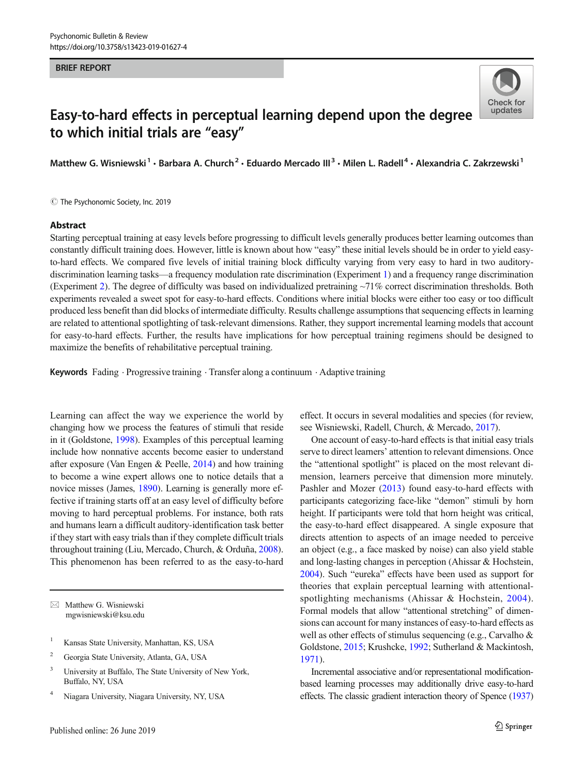#### BRIEF REPORT



# Easy-to-hard effects in perceptual learning depend upon the degree to which initial trials are "easy"

Matthew G. Wisniewski<sup>1</sup> • Barbara A. Church<sup>2</sup> • Eduardo Mercado III<sup>3</sup> • Milen L. Radell<sup>4</sup> • Alexandria C. Zakrzewski<sup>1</sup>

 $\odot$  The Psychonomic Society, Inc. 2019

#### Abstract

Starting perceptual training at easy levels before progressing to difficult levels generally produces better learning outcomes than constantly difficult training does. However, little is known about how "easy" these initial levels should be in order to yield easyto-hard effects. We compared five levels of initial training block difficulty varying from very easy to hard in two auditorydiscrimination learning tasks—a frequency modulation rate discrimination (Experiment [1\)](#page-1-0) and a frequency range discrimination (Experiment [2\)](#page-3-0). The degree of difficulty was based on individualized pretraining ~71% correct discrimination thresholds. Both experiments revealed a sweet spot for easy-to-hard effects. Conditions where initial blocks were either too easy or too difficult produced less benefit than did blocks of intermediate difficulty. Results challenge assumptions that sequencing effects in learning are related to attentional spotlighting of task-relevant dimensions. Rather, they support incremental learning models that account for easy-to-hard effects. Further, the results have implications for how perceptual training regimens should be designed to maximize the benefits of rehabilitative perceptual training.

Keywords Fading · Progressive training · Transfer along a continuum · Adaptive training

Learning can affect the way we experience the world by changing how we process the features of stimuli that reside in it (Goldstone, [1998](#page-6-0)). Examples of this perceptual learning include how nonnative accents become easier to understand after exposure (Van Engen & Peelle, [2014\)](#page-6-0) and how training to become a wine expert allows one to notice details that a novice misses (James, [1890\)](#page-6-0). Learning is generally more effective if training starts off at an easy level of difficulty before moving to hard perceptual problems. For instance, both rats and humans learn a difficult auditory-identification task better if they start with easy trials than if they complete difficult trials throughout training (Liu, Mercado, Church, & Orduña, [2008\)](#page-6-0). This phenomenon has been referred to as the easy-to-hard

 $\boxtimes$  Matthew G. Wisniewski [mgwisniewski@ksu.edu](mailto:mgwisniewski@ksu.edu)

- <sup>1</sup> Kansas State University, Manhattan, KS, USA
- <sup>2</sup> Georgia State University, Atlanta, GA, USA
- <sup>3</sup> University at Buffalo, The State University of New York, Buffalo, NY, USA
- <sup>4</sup> Niagara University, Niagara University, NY, USA

effect. It occurs in several modalities and species (for review, see Wisniewski, Radell, Church, & Mercado, [2017\)](#page-6-0).

One account of easy-to-hard effects is that initial easy trials serve to direct learners' attention to relevant dimensions. Once the "attentional spotlight" is placed on the most relevant dimension, learners perceive that dimension more minutely. Pashler and Mozer ([2013\)](#page-6-0) found easy-to-hard effects with participants categorizing face-like "demon" stimuli by horn height. If participants were told that horn height was critical, the easy-to-hard effect disappeared. A single exposure that directs attention to aspects of an image needed to perceive an object (e.g., a face masked by noise) can also yield stable and long-lasting changes in perception (Ahissar & Hochstein, [2004\)](#page-5-0). Such "eureka" effects have been used as support for theories that explain perceptual learning with attentionalspotlighting mechanisms (Ahissar & Hochstein, [2004](#page-5-0)). Formal models that allow "attentional stretching" of dimensions can account for many instances of easy-to-hard effects as well as other effects of stimulus sequencing (e.g., Carvalho & Goldstone, [2015](#page-5-0); Krushcke, [1992;](#page-6-0) Sutherland & Mackintosh, [1971\)](#page-6-0).

Incremental associative and/or representational modificationbased learning processes may additionally drive easy-to-hard effects. The classic gradient interaction theory of Spence [\(1937](#page-6-0))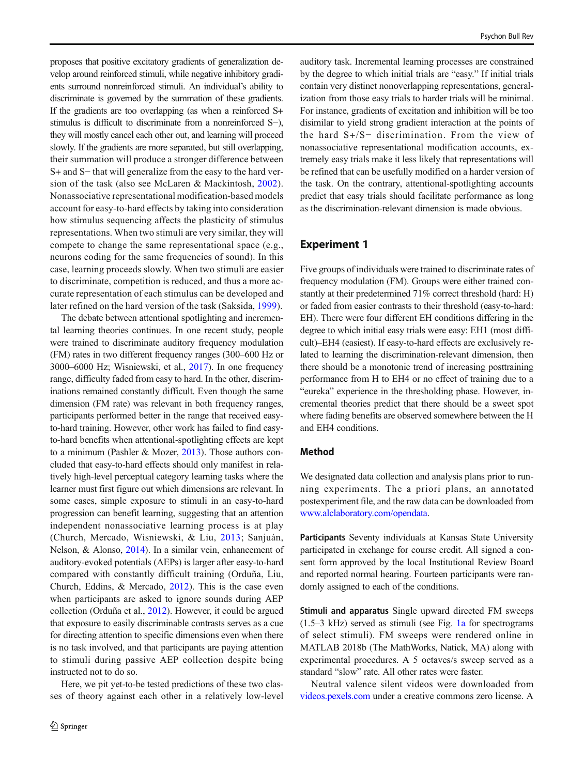<span id="page-1-0"></span>proposes that positive excitatory gradients of generalization develop around reinforced stimuli, while negative inhibitory gradients surround nonreinforced stimuli. An individual's ability to discriminate is governed by the summation of these gradients. If the gradients are too overlapping (as when a reinforced S+ stimulus is difficult to discriminate from a nonreinforced S−), they will mostly cancel each other out, and learning will proceed slowly. If the gradients are more separated, but still overlapping, their summation will produce a stronger difference between S+ and S− that will generalize from the easy to the hard version of the task (also see McLaren & Mackintosh, [2002](#page-6-0)). Nonassociative representational modification-based models account for easy-to-hard effects by taking into consideration how stimulus sequencing affects the plasticity of stimulus representations. When two stimuli are very similar, they will compete to change the same representational space (e.g., neurons coding for the same frequencies of sound). In this case, learning proceeds slowly. When two stimuli are easier to discriminate, competition is reduced, and thus a more accurate representation of each stimulus can be developed and later refined on the hard version of the task (Saksida, [1999\)](#page-6-0).

The debate between attentional spotlighting and incremental learning theories continues. In one recent study, people were trained to discriminate auditory frequency modulation (FM) rates in two different frequency ranges (300–600 Hz or 3000–6000 Hz; Wisniewski, et al., [2017](#page-6-0)). In one frequency range, difficulty faded from easy to hard. In the other, discriminations remained constantly difficult. Even though the same dimension (FM rate) was relevant in both frequency ranges, participants performed better in the range that received easyto-hard training. However, other work has failed to find easyto-hard benefits when attentional-spotlighting effects are kept to a minimum (Pashler & Mozer, [2013\)](#page-6-0). Those authors concluded that easy-to-hard effects should only manifest in relatively high-level perceptual category learning tasks where the learner must first figure out which dimensions are relevant. In some cases, simple exposure to stimuli in an easy-to-hard progression can benefit learning, suggesting that an attention independent nonassociative learning process is at play (Church, Mercado, Wisniewski, & Liu, [2013;](#page-6-0) Sanjuán, Nelson, & Alonso, [2014\)](#page-6-0). In a similar vein, enhancement of auditory-evoked potentials (AEPs) is larger after easy-to-hard compared with constantly difficult training (Orduña, Liu, Church, Eddins, & Mercado, [2012\)](#page-6-0). This is the case even when participants are asked to ignore sounds during AEP collection (Orduña et al., [2012](#page-6-0)). However, it could be argued that exposure to easily discriminable contrasts serves as a cue for directing attention to specific dimensions even when there is no task involved, and that participants are paying attention to stimuli during passive AEP collection despite being instructed not to do so.

Here, we pit yet-to-be tested predictions of these two classes of theory against each other in a relatively low-level

auditory task. Incremental learning processes are constrained by the degree to which initial trials are "easy." If initial trials contain very distinct nonoverlapping representations, generalization from those easy trials to harder trials will be minimal. For instance, gradients of excitation and inhibition will be too disimilar to yield strong gradient interaction at the points of the hard S+/S− discrimination. From the view of nonassociative representational modification accounts, extremely easy trials make it less likely that representations will be refined that can be usefully modified on a harder version of the task. On the contrary, attentional-spotlighting accounts predict that easy trials should facilitate performance as long as the discrimination-relevant dimension is made obvious.

## Experiment 1

Five groups of individuals were trained to discriminate rates of frequency modulation (FM). Groups were either trained constantly at their predetermined 71% correct threshold (hard: H) or faded from easier contrasts to their threshold (easy-to-hard: EH). There were four different EH conditions differing in the degree to which initial easy trials were easy: EH1 (most difficult)–EH4 (easiest). If easy-to-hard effects are exclusively related to learning the discrimination-relevant dimension, then there should be a monotonic trend of increasing posttraining performance from H to EH4 or no effect of training due to a "eureka" experience in the thresholding phase. However, incremental theories predict that there should be a sweet spot where fading benefits are observed somewhere between the H and EH4 conditions.

### Method

We designated data collection and analysis plans prior to running experiments. The a priori plans, an annotated postexperiment file, and the raw data can be downloaded from [www.alclaboratory.com/opendata.](http://www.alclaboratory.com/opendata)

Participants Seventy individuals at Kansas State University participated in exchange for course credit. All signed a consent form approved by the local Institutional Review Board and reported normal hearing. Fourteen participants were randomly assigned to each of the conditions.

Stimuli and apparatus Single upward directed FM sweeps (1.5–3 kHz) served as stimuli (see Fig. [1a](#page-2-0) for spectrograms of select stimuli). FM sweeps were rendered online in MATLAB 2018b (The MathWorks, Natick, MA) along with experimental procedures. A 5 octaves/s sweep served as a standard "slow" rate. All other rates were faster.

Neutral valence silent videos were downloaded from [videos.pexels.com](http://videos.pexels.com) under a creative commons zero license. A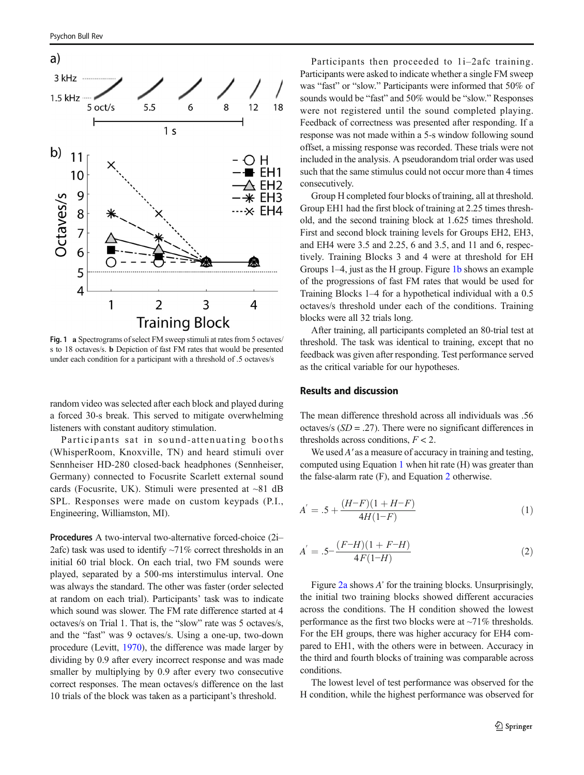<span id="page-2-0"></span>

Fig. 1 a Spectrograms of select FM sweep stimuli at rates from 5 octaves/ s to 18 octaves/s. b Depiction of fast FM rates that would be presented under each condition for a participant with a threshold of .5 octaves/s

random video was selected after each block and played during a forced 30-s break. This served to mitigate overwhelming listeners with constant auditory stimulation.

Participants sat in sound-attenuating booths (WhisperRoom, Knoxville, TN) and heard stimuli over Sennheiser HD-280 closed-back headphones (Sennheiser, Germany) connected to Focusrite Scarlett external sound cards (Focusrite, UK). Stimuli were presented at  $\sim 81$  dB SPL. Responses were made on custom keypads (P.I., Engineering, Williamston, MI).

Procedures A two-interval two-alternative forced-choice (2i– 2afc) task was used to identify  $\sim$ 71% correct thresholds in an initial 60 trial block. On each trial, two FM sounds were played, separated by a 500-ms interstimulus interval. One was always the standard. The other was faster (order selected at random on each trial). Participants' task was to indicate which sound was slower. The FM rate difference started at 4 octaves/s on Trial 1. That is, the "slow" rate was 5 octaves/s, and the "fast" was 9 octaves/s. Using a one-up, two-down procedure (Levitt, [1970](#page-6-0)), the difference was made larger by dividing by 0.9 after every incorrect response and was made smaller by multiplying by 0.9 after every two consecutive correct responses. The mean octaves/s difference on the last 10 trials of the block was taken as a participant's threshold.

Participants then proceeded to 1i–2afc training. Participants were asked to indicate whether a single FM sweep was "fast" or "slow." Participants were informed that 50% of sounds would be "fast" and 50% would be "slow." Responses were not registered until the sound completed playing. Feedback of correctness was presented after responding. If a response was not made within a 5-s window following sound offset, a missing response was recorded. These trials were not included in the analysis. A pseudorandom trial order was used such that the same stimulus could not occur more than 4 times consecutively.

Group H completed four blocks of training, all at threshold. Group EH1 had the first block of training at 2.25 times threshold, and the second training block at 1.625 times threshold. First and second block training levels for Groups EH2, EH3, and EH4 were 3.5 and 2.25, 6 and 3.5, and 11 and 6, respectively. Training Blocks 3 and 4 were at threshold for EH Groups 1–4, just as the H group. Figure 1b shows an example of the progressions of fast FM rates that would be used for Training Blocks 1–4 for a hypothetical individual with a 0.5 octaves/s threshold under each of the conditions. Training blocks were all 32 trials long.

After training, all participants completed an 80-trial test at threshold. The task was identical to training, except that no feedback was given after responding. Test performance served as the critical variable for our hypotheses.

## Results and discussion

The mean difference threshold across all individuals was .56 octaves/s  $(SD = .27)$ . There were no significant differences in thresholds across conditions,  $F < 2$ .

We used A' as a measure of accuracy in training and testing, computed using Equation 1 when hit rate (H) was greater than the false-alarm rate (F), and Equation 2 otherwise.

$$
A^{'} = .5 + \frac{(H-F)(1+H-F)}{4H(1-F)}
$$
\n(1)

$$
A^{'} = .5 - \frac{(F-H)(1 + F-H)}{4F(1-H)}\tag{2}
$$

Figure [2a](#page-3-0) shows A' for the training blocks. Unsurprisingly, the initial two training blocks showed different accuracies across the conditions. The H condition showed the lowest performance as the first two blocks were at  $\sim$ 71% thresholds. For the EH groups, there was higher accuracy for EH4 compared to EH1, with the others were in between. Accuracy in the third and fourth blocks of training was comparable across conditions.

The lowest level of test performance was observed for the H condition, while the highest performance was observed for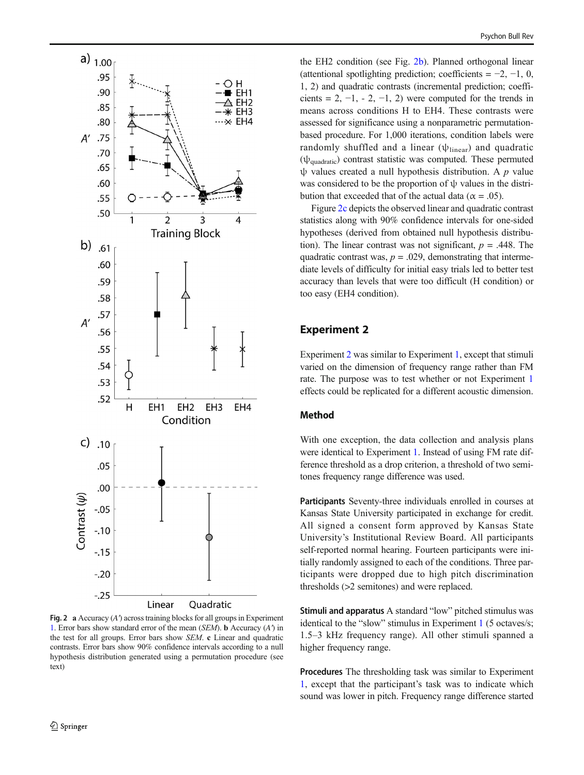<span id="page-3-0"></span>

Fig. 2 a Accuracy  $(A')$  across training blocks for all groups in Experiment [1](#page-1-0). Error bars show standard error of the mean (SEM). b Accuracy (A') in the test for all groups. Error bars show SEM. c Linear and quadratic contrasts. Error bars show 90% confidence intervals according to a null hypothesis distribution generated using a permutation procedure (see text)

the EH2 condition (see Fig. 2b). Planned orthogonal linear (attentional spotlighting prediction; coefficients =  $-2$ ,  $-1$ , 0, 1, 2) and quadratic contrasts (incremental prediction; coefficients = 2,  $-1$ ,  $-2$ ,  $-1$ , 2) were computed for the trends in means across conditions H to EH4. These contrasts were assessed for significance using a nonparametric permutationbased procedure. For 1,000 iterations, condition labels were randomly shuffled and a linear  $(\psi_{linear})$  and quadratic  $(\psi_{\text{quadratic}})$  contrast statistic was computed. These permuted  $ψ$  values created a null hypothesis distribution. A  $p$  value was considered to be the proportion of ψ values in the distribution that exceeded that of the actual data ( $\alpha = .05$ ).

Figure 2c depicts the observed linear and quadratic contrast statistics along with 90% confidence intervals for one-sided hypotheses (derived from obtained null hypothesis distribution). The linear contrast was not significant,  $p = .448$ . The quadratic contrast was,  $p = .029$ , demonstrating that intermediate levels of difficulty for initial easy trials led to better test accuracy than levels that were too difficult (H condition) or too easy (EH4 condition).

## Experiment 2

Experiment 2 was similar to Experiment [1,](#page-1-0) except that stimuli varied on the dimension of frequency range rather than FM rate. The purpose was to test whether or not Experiment [1](#page-1-0) effects could be replicated for a different acoustic dimension.

## Method

With one exception, the data collection and analysis plans were identical to Experiment [1](#page-1-0). Instead of using FM rate difference threshold as a drop criterion, a threshold of two semitones frequency range difference was used.

Participants Seventy-three individuals enrolled in courses at Kansas State University participated in exchange for credit. All signed a consent form approved by Kansas State University's Institutional Review Board. All participants self-reported normal hearing. Fourteen participants were initially randomly assigned to each of the conditions. Three participants were dropped due to high pitch discrimination thresholds (>2 semitones) and were replaced.

Stimuli and apparatus A standard "low" pitched stimulus was identical to the "slow" stimulus in Experiment [1](#page-1-0) (5 octaves/s; 1.5–3 kHz frequency range). All other stimuli spanned a higher frequency range.

Procedures The thresholding task was similar to Experiment [1](#page-1-0), except that the participant's task was to indicate which sound was lower in pitch. Frequency range difference started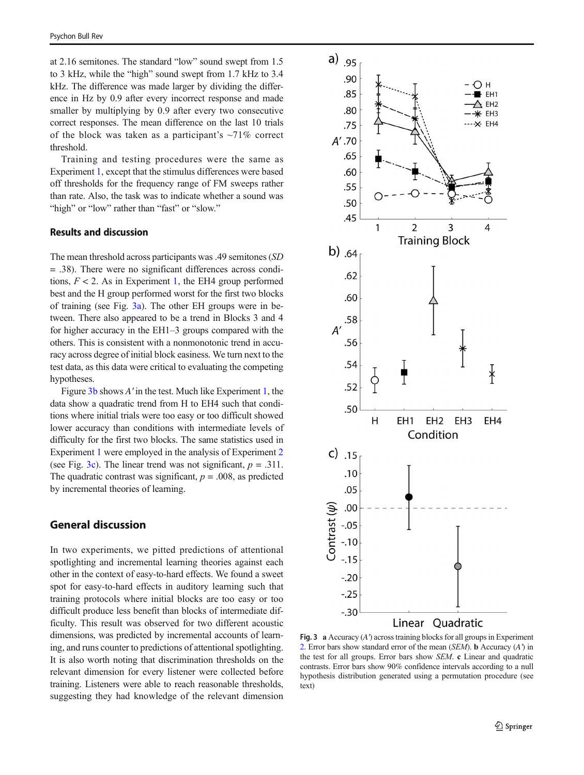at 2.16 semitones. The standard "low" sound swept from 1.5 to 3 kHz, while the "high" sound swept from 1.7 kHz to 3.4 kHz. The difference was made larger by dividing the difference in Hz by 0.9 after every incorrect response and made smaller by multiplying by 0.9 after every two consecutive correct responses. The mean difference on the last 10 trials of the block was taken as a participant's  $\sim$ 71% correct threshold.

Training and testing procedures were the same as Experiment [1](#page-1-0), except that the stimulus differences were based off thresholds for the frequency range of FM sweeps rather than rate. Also, the task was to indicate whether a sound was "high" or "low" rather than "fast" or "slow."

## Results and discussion

The mean threshold across participants was .49 semitones (SD = .38). There were no significant differences across conditions,  $F < 2$ . As in Experiment [1](#page-1-0), the EH4 group performed best and the H group performed worst for the first two blocks of training (see Fig.  $3a$ ). The other EH groups were in between. There also appeared to be a trend in Blocks 3 and 4 for higher accuracy in the EH1–3 groups compared with the others. This is consistent with a nonmonotonic trend in accuracy across degree of initial block easiness. We turn next to the test data, as this data were critical to evaluating the competing hypotheses.

Figure 3b shows A' in the test. Much like Experiment [1,](#page-1-0) the data show a quadratic trend from H to EH4 such that conditions where initial trials were too easy or too difficult showed lower accuracy than conditions with intermediate levels of difficulty for the first two blocks. The same statistics used in Experiment [1](#page-1-0) were employed in the analysis of Experiment [2](#page-3-0) (see Fig. 3c). The linear trend was not significant,  $p = .311$ . The quadratic contrast was significant,  $p = .008$ , as predicted by incremental theories of learning.

# General discussion

In two experiments, we pitted predictions of attentional spotlighting and incremental learning theories against each other in the context of easy-to-hard effects. We found a sweet spot for easy-to-hard effects in auditory learning such that training protocols where initial blocks are too easy or too difficult produce less benefit than blocks of intermediate difficulty. This result was observed for two different acoustic dimensions, was predicted by incremental accounts of learning, and runs counter to predictions of attentional spotlighting. It is also worth noting that discrimination thresholds on the relevant dimension for every listener were collected before training. Listeners were able to reach reasonable thresholds, suggesting they had knowledge of the relevant dimension



Fig. 3 a Accuracy (A') across training blocks for all groups in Experiment [2](#page-3-0). Error bars show standard error of the mean (SEM). b Accuracy (A') in the test for all groups. Error bars show SEM. c Linear and quadratic contrasts. Error bars show 90% confidence intervals according to a null hypothesis distribution generated using a permutation procedure (see text)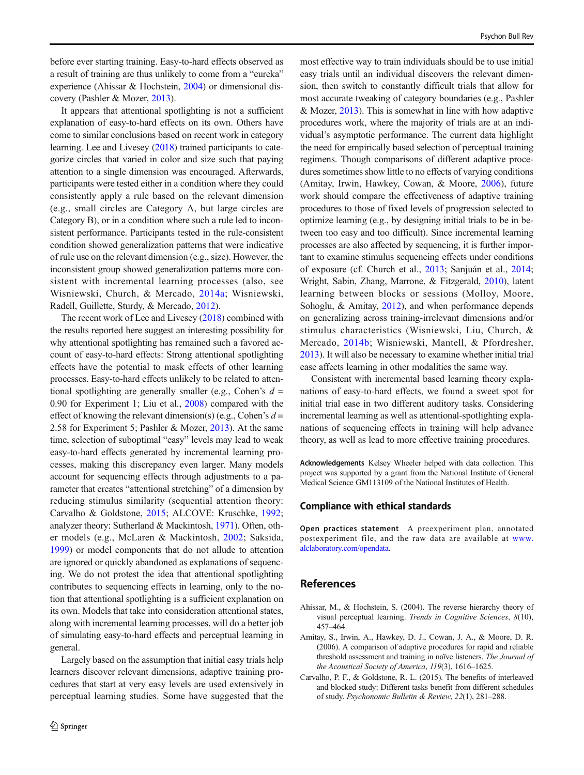<span id="page-5-0"></span>before ever starting training. Easy-to-hard effects observed as a result of training are thus unlikely to come from a "eureka" experience (Ahissar & Hochstein, 2004) or dimensional discovery (Pashler & Mozer, [2013](#page-6-0)).

It appears that attentional spotlighting is not a sufficient explanation of easy-to-hard effects on its own. Others have come to similar conclusions based on recent work in category learning. Lee and Livesey [\(2018\)](#page-6-0) trained participants to categorize circles that varied in color and size such that paying attention to a single dimension was encouraged. Afterwards, participants were tested either in a condition where they could consistently apply a rule based on the relevant dimension (e.g., small circles are Category A, but large circles are Category B), or in a condition where such a rule led to inconsistent performance. Participants tested in the rule-consistent condition showed generalization patterns that were indicative of rule use on the relevant dimension (e.g., size). However, the inconsistent group showed generalization patterns more consistent with incremental learning processes (also, see Wisniewski, Church, & Mercado, [2014a](#page-6-0); Wisniewski, Radell, Guillette, Sturdy, & Mercado, [2012\)](#page-6-0).

The recent work of Lee and Livesey [\(2018](#page-6-0)) combined with the results reported here suggest an interesting possibility for why attentional spotlighting has remained such a favored account of easy-to-hard effects: Strong attentional spotlighting effects have the potential to mask effects of other learning processes. Easy-to-hard effects unlikely to be related to attentional spotlighting are generally smaller (e.g., Cohen's  $d =$ 0.90 for Experiment 1; Liu et al., [2008](#page-6-0)) compared with the effect of knowing the relevant dimension(s) (e.g., Cohen's  $d =$ 2.58 for Experiment 5; Pashler & Mozer, [2013\)](#page-6-0). At the same time, selection of suboptimal "easy" levels may lead to weak easy-to-hard effects generated by incremental learning processes, making this discrepancy even larger. Many models account for sequencing effects through adjustments to a parameter that creates "attentional stretching" of a dimension by reducing stimulus similarity (sequential attention theory: Carvalho & Goldstone, 2015; ALCOVE: Kruschke, [1992](#page-6-0); analyzer theory: Sutherland & Mackintosh, [1971](#page-6-0)). Often, other models (e.g., McLaren & Mackintosh, [2002](#page-6-0); Saksida, [1999\)](#page-6-0) or model components that do not allude to attention are ignored or quickly abandoned as explanations of sequencing. We do not protest the idea that attentional spotlighting contributes to sequencing effects in learning, only to the notion that attentional spotlighting is a sufficient explanation on its own. Models that take into consideration attentional states, along with incremental learning processes, will do a better job of simulating easy-to-hard effects and perceptual learning in general.

Largely based on the assumption that initial easy trials help learners discover relevant dimensions, adaptive training procedures that start at very easy levels are used extensively in perceptual learning studies. Some have suggested that the most effective way to train individuals should be to use initial easy trials until an individual discovers the relevant dimension, then switch to constantly difficult trials that allow for most accurate tweaking of category boundaries (e.g., Pashler & Mozer, [2013\)](#page-6-0). This is somewhat in line with how adaptive procedures work, where the majority of trials are at an individual's asymptotic performance. The current data highlight the need for empirically based selection of perceptual training regimens. Though comparisons of different adaptive procedures sometimes show little to no effects of varying conditions (Amitay, Irwin, Hawkey, Cowan, & Moore, 2006), future work should compare the effectiveness of adaptive training procedures to those of fixed levels of progression selected to optimize learning (e.g., by designing initial trials to be in between too easy and too difficult). Since incremental learning processes are also affected by sequencing, it is further important to examine stimulus sequencing effects under conditions of exposure (cf. Church et al., [2013](#page-6-0); Sanjuán et al., [2014;](#page-6-0) Wright, Sabin, Zhang, Marrone, & Fitzgerald, [2010\)](#page-6-0), latent learning between blocks or sessions (Molloy, Moore, Sohoglu, & Amitay, [2012](#page-6-0)), and when performance depends on generalizing across training-irrelevant dimensions and/or stimulus characteristics (Wisniewski, Liu, Church, & Mercado, [2014b](#page-6-0); Wisniewski, Mantell, & Pfordresher, [2013\)](#page-6-0). It will also be necessary to examine whether initial trial ease affects learning in other modalities the same way.

Consistent with incremental based learning theory explanations of easy-to-hard effects, we found a sweet spot for initial trial ease in two different auditory tasks. Considering incremental learning as well as attentional-spotlighting explanations of sequencing effects in training will help advance theory, as well as lead to more effective training procedures.

Acknowledgements Kelsey Wheeler helped with data collection. This project was supported by a grant from the National Institute of General Medical Science GM113109 of the National Institutes of Health.

## Compliance with ethical standards

Open practices statement A preexperiment plan, annotated postexperiment file, and the raw data are available at [www.](http://www.alclaboratory.com/opendata) [alclaboratory.com/opendata](http://www.alclaboratory.com/opendata).

## References

- Ahissar, M., & Hochstein, S. (2004). The reverse hierarchy theory of visual perceptual learning. Trends in Cognitive Sciences, 8(10), 457–464.
- Amitay, S., Irwin, A., Hawkey, D. J., Cowan, J. A., & Moore, D. R. (2006). A comparison of adaptive procedures for rapid and reliable threshold assessment and training in naïve listeners. The Journal of the Acoustical Society of America, 119(3), 1616–1625.
- Carvalho, P. F., & Goldstone, R. L. (2015). The benefits of interleaved and blocked study: Different tasks benefit from different schedules of study. Psychonomic Bulletin & Review, 22(1), 281–288.